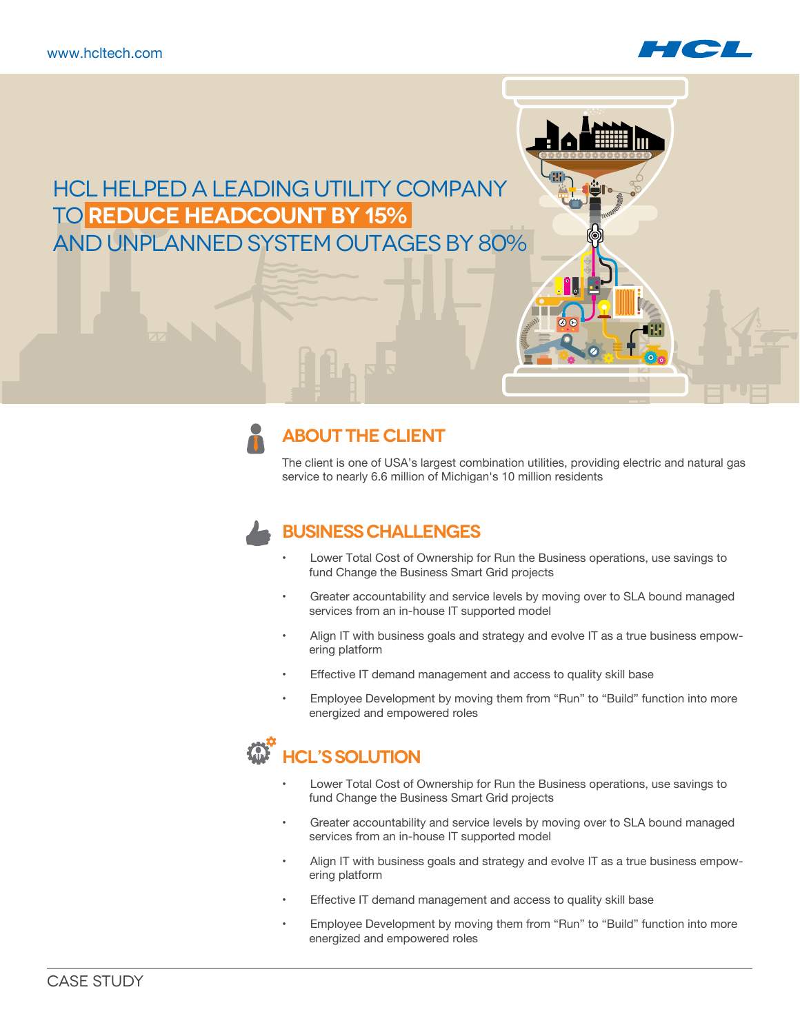

# HCL helped a leading utility company to **reduce headcount by 15%** and unplanned system outages by 80%

### **ABOUT THE CLIENT**

The client is one of USA's largest combination utilities, providing electric and natural gas service to nearly 6.6 million of Michigan's 10 million residents

## **Business Challenges**

- Lower Total Cost of Ownership for Run the Business operations, use savings to fund Change the Business Smart Grid projects
- Greater accountability and service levels by moving over to SLA bound managed services from an in-house IT supported model
- Align IT with business goals and strategy and evolve IT as a true business empowering platform
- Effective IT demand management and access to quality skill base
- Employee Development by moving them from "Run" to "Build" function into more energized and empowered roles

# **W** HCL'S SOLUTION

- Lower Total Cost of Ownership for Run the Business operations, use savings to fund Change the Business Smart Grid projects
- Greater accountability and service levels by moving over to SLA bound managed services from an in-house IT supported model
- Align IT with business goals and strategy and evolve IT as a true business empowering platform
- Effective IT demand management and access to quality skill base
- Employee Development by moving them from "Run" to "Build" function into more energized and empowered roles